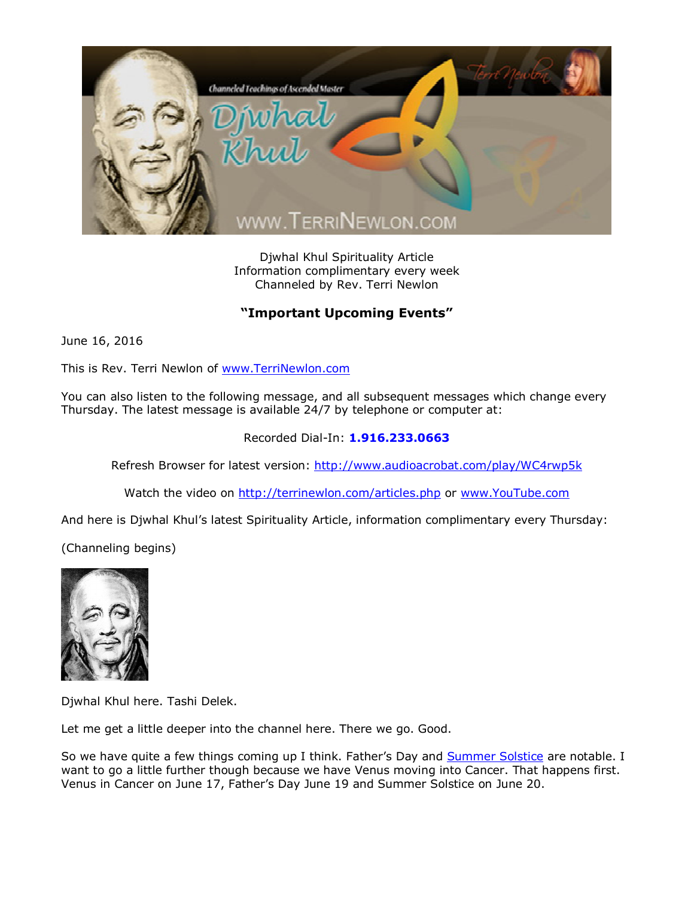

Djwhal Khul Spirituality Article Information complimentary every week Channeled by Rev. Terri Newlon

## **"Important Upcoming Events"**

June 16, 2016

This is Rev. Terri Newlon of [www.TerriNewlon.com](http://www.terrinewlon.com/)

You can also listen to the following message, and all subsequent messages which change every Thursday. The latest message is available 24/7 by telephone or computer at:

## Recorded Dial-In: **1.916.233.0663**

Refresh Browser for latest version: <http://www.audioacrobat.com/play/WC4rwp5k>

Watch the video on <http://terrinewlon.com/articles.php> or [www.YouTube.com](http://www.youtube.com/)

And here is Djwhal Khul's latest Spirituality Article, information complimentary every Thursday:

(Channeling begins)



Djwhal Khul here. Tashi Delek.

Let me get a little deeper into the channel here. There we go. Good.

So we have quite a few things coming up I think. Father's Day and [Summer Solstice](http://www.terrinewlon.com/telecourses.php) are notable. I want to go a little further though because we have Venus moving into Cancer. That happens first. Venus in Cancer on June 17, Father's Day June 19 and Summer Solstice on June 20.